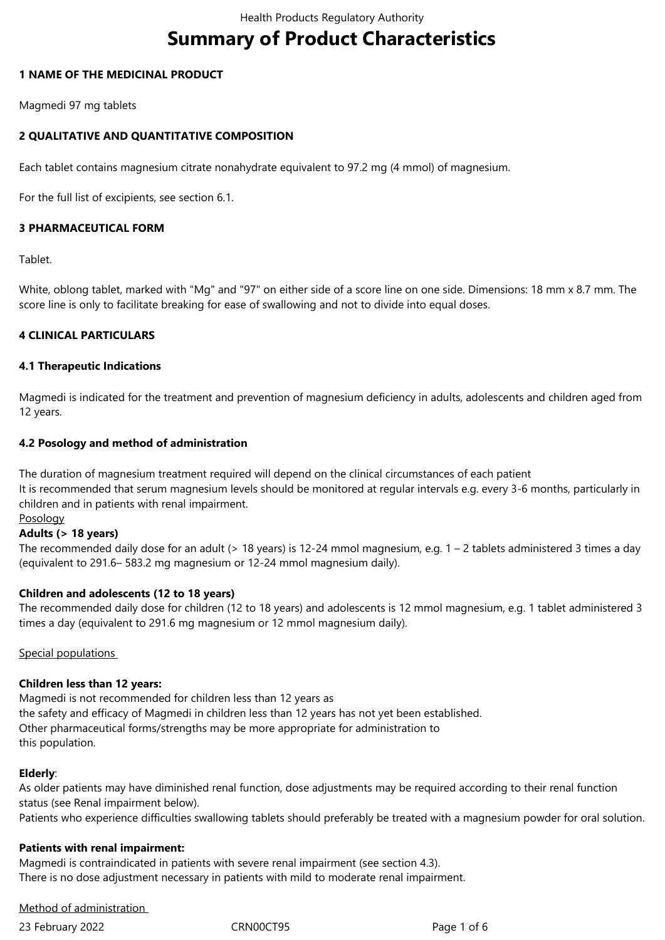# **Summary of Product Characteristics**

## **1 NAME OF THE MEDICINAL PRODUCT**

Magmedi 97 mg tablets

# **2 QUALITATIVE AND QUANTITATIVE COMPOSITION**

Each tablet contains magnesium citrate nonahydrate equivalent to 97.2 mg (4 mmol) of magnesium.

For the full list of excipients, see section 6.1.

## **3 PHARMACEUTICAL FORM**

Tablet.

White, oblong tablet, marked with "Mg" and "97" on either side of a score line on one side. Dimensions: 18 mm x 8.7 mm. The score line is only to facilitate breaking for ease of swallowing and not to divide into equal doses.

## **4 CLINICAL PARTICULARS**

## **4.1 Therapeutic Indications**

Magmedi is indicated for the treatment and prevention of magnesium deficiency in adults, adolescents and children aged from 12 years.

## **4.2 Posology and method of administration**

The duration of magnesium treatment required will depend on the clinical circumstances of each patient It is recommended that serum magnesium levels should be monitored at regular intervals e.g. every 3-6 months, particularly in children and in patients with renal impairment.

## Posology

## **Adults (> 18 years)**

The recommended daily dose for an adult (> 18 years) is 12-24 mmol magnesium, e.g. 1 – 2 tablets administered 3 times a day (equivalent to 291.6– 583.2 mg magnesium or 12-24 mmol magnesium daily).

# **Children and adolescents (12 to 18 years)**

The recommended daily dose for children (12 to 18 years) and adolescents is 12 mmol magnesium, e.g. 1 tablet administered 3 times a day (equivalent to 291.6 mg magnesium or 12 mmol magnesium daily).

# Special populations

# **Children less than 12 years:**

Magmedi is not recommended for children less than 12 years as the safety and efficacy of Magmedi in children less than 12 years has not yet been established. Other pharmaceutical forms/strengths may be more appropriate for administration to this population.

## **Elderly**:

As older patients may have diminished renal function, dose adjustments may be required according to their renal function status (see Renal impairment below).

Patients who experience difficulties swallowing tablets should preferably be treated with a magnesium powder for oral solution.

# **Patients with renal impairment:**

Magmedi is contraindicated in patients with severe renal impairment (see section 4.3). There is no dose adjustment necessary in patients with mild to moderate renal impairment.

# Method of administration

23 February 2022 CRN00CT95 Page 1 of 6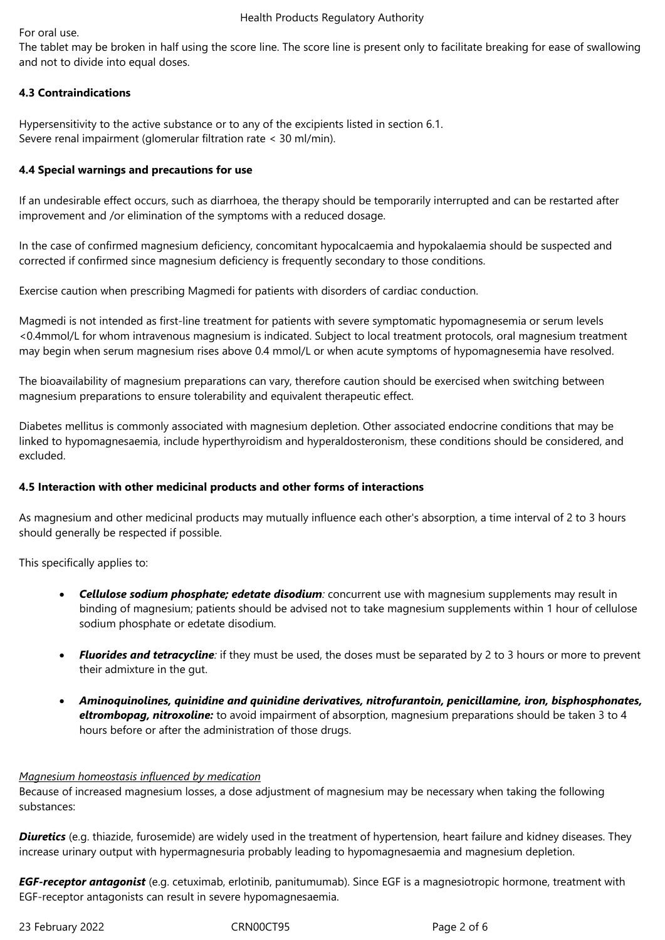For oral use.

The tablet may be broken in half using the score line. The score line is present only to facilitate breaking for ease of swallowing and not to divide into equal doses.

# **4.3 Contraindications**

Hypersensitivity to the active substance or to any of the excipients listed in section 6.1. Severe renal impairment (glomerular filtration rate < 30 ml/min).

# **4.4 Special warnings and precautions for use**

If an undesirable effect occurs, such as diarrhoea, the therapy should be temporarily interrupted and can be restarted after improvement and /or elimination of the symptoms with a reduced dosage.

In the case of confirmed magnesium deficiency, concomitant hypocalcaemia and hypokalaemia should be suspected and corrected if confirmed since magnesium deficiency is frequently secondary to those conditions.

Exercise caution when prescribing Magmedi for patients with disorders of cardiac conduction.

Magmedi is not intended as first-line treatment for patients with severe symptomatic hypomagnesemia or serum levels <0.4mmol/L for whom intravenous magnesium is indicated. Subject to local treatment protocols, oral magnesium treatment may begin when serum magnesium rises above 0.4 mmol/L or when acute symptoms of hypomagnesemia have resolved.

The bioavailability of magnesium preparations can vary, therefore caution should be exercised when switching between magnesium preparations to ensure tolerability and equivalent therapeutic effect.

Diabetes mellitus is commonly associated with magnesium depletion. Other associated endocrine conditions that may be linked to hypomagnesaemia, include hyperthyroidism and hyperaldosteronism, these conditions should be considered, and excluded.

# **4.5 Interaction with other medicinal products and other forms of interactions**

As magnesium and other medicinal products may mutually influence each other's absorption, a time interval of 2 to 3 hours should generally be respected if possible.

This specifically applies to:

- *Cellulose sodium phosphate; edetate disodium:* concurrent use with magnesium supplements may result in binding of magnesium; patients should be advised not to take magnesium supplements within 1 hour of cellulose sodium phosphate or edetate disodium.
- *Fluorides and tetracycline:* if they must be used, the doses must be separated by 2 to 3 hours or more to prevent their admixture in the gut.
- *Aminoquinolines, quinidine and quinidine derivatives, nitrofurantoin, penicillamine, iron, bisphosphonates, eltrombopag, nitroxoline:* to avoid impairment of absorption, magnesium preparations should be taken 3 to 4 hours before or after the administration of those drugs.

## *Magnesium homeostasis influenced by medication*

Because of increased magnesium losses, a dose adjustment of magnesium may be necessary when taking the following substances:

*Diuretics* (e.g. thiazide, furosemide) are widely used in the treatment of hypertension, heart failure and kidney diseases. They increase urinary output with hypermagnesuria probably leading to hypomagnesaemia and magnesium depletion.

*EGF-receptor antagonist* (e.g. cetuximab, erlotinib, panitumumab). Since EGF is a magnesiotropic hormone, treatment with EGF-receptor antagonists can result in severe hypomagnesaemia.

23 February 2022 CRN00CT95 Page 2 of 6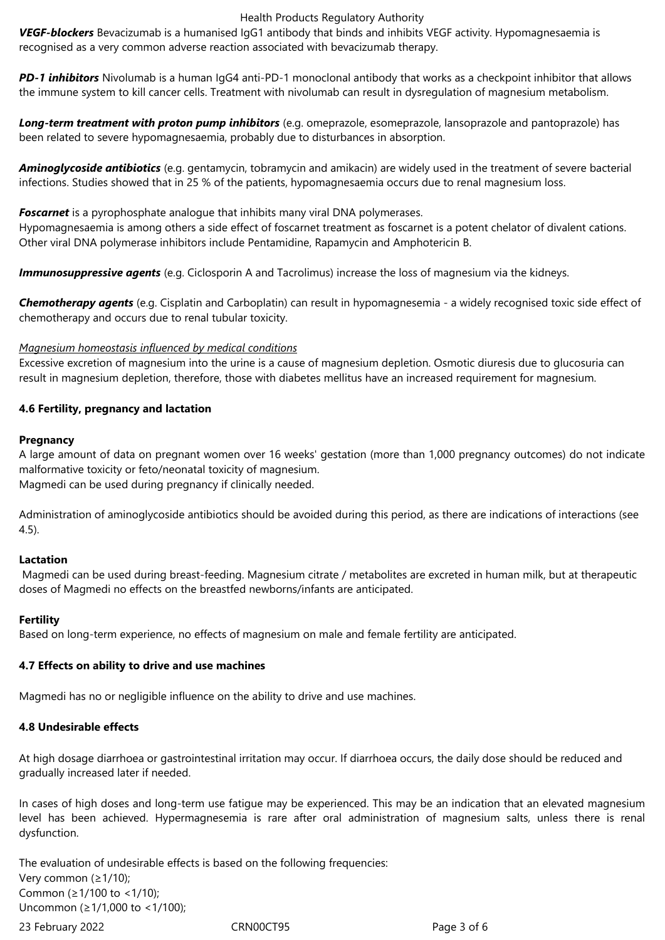#### Health Products Regulatory Authority

*VEGF-blockers* Bevacizumab is a humanised IgG1 antibody that binds and inhibits VEGF activity. Hypomagnesaemia is recognised as a very common adverse reaction associated with bevacizumab therapy.

*PD-1 inhibitors* Nivolumab is a human IgG4 anti-PD-1 monoclonal antibody that works as a checkpoint inhibitor that allows the immune system to kill cancer cells. Treatment with nivolumab can result in dysregulation of magnesium metabolism.

*Long-term treatment with proton pump inhibitors* (e.g. omeprazole, esomeprazole, lansoprazole and pantoprazole) has been related to severe hypomagnesaemia, probably due to disturbances in absorption.

*Aminoglycoside antibiotics* (e.g. gentamycin, tobramycin and amikacin) are widely used in the treatment of severe bacterial infections. Studies showed that in 25 % of the patients, hypomagnesaemia occurs due to renal magnesium loss.

*Foscarnet* is a pyrophosphate analogue that inhibits many viral DNA polymerases.

Hypomagnesaemia is among others a side effect of foscarnet treatment as foscarnet is a potent chelator of divalent cations. Other viral DNA polymerase inhibitors include Pentamidine, Rapamycin and Amphotericin B.

*Immunosuppressive agents* (e.g. Ciclosporin A and Tacrolimus) increase the loss of magnesium via the kidneys.

*Chemotherapy agents* (e.g. Cisplatin and Carboplatin) can result in hypomagnesemia - a widely recognised toxic side effect of chemotherapy and occurs due to renal tubular toxicity.

## *Magnesium homeostasis influenced by medical conditions*

Excessive excretion of magnesium into the urine is a cause of magnesium depletion. Osmotic diuresis due to glucosuria can result in magnesium depletion, therefore, those with diabetes mellitus have an increased requirement for magnesium.

## **4.6 Fertility, pregnancy and lactation**

## **Pregnancy**

A large amount of data on pregnant women over 16 weeks' gestation (more than 1,000 pregnancy outcomes) do not indicate malformative toxicity or feto/neonatal toxicity of magnesium. Magmedi can be used during pregnancy if clinically needed.

Administration of aminoglycoside antibiotics should be avoided during this period, as there are indications of interactions (see 4.5).

## **Lactation**

 Magmedi can be used during breast-feeding. Magnesium citrate / metabolites are excreted in human milk, but at therapeutic doses of Magmedi no effects on the breastfed newborns/infants are anticipated.

## **Fertility**

Based on long-term experience, no effects of magnesium on male and female fertility are anticipated.

## **4.7 Effects on ability to drive and use machines**

Magmedi has no or negligible influence on the ability to drive and use machines.

## **4.8 Undesirable effects**

At high dosage diarrhoea or gastrointestinal irritation may occur. If diarrhoea occurs, the daily dose should be reduced and gradually increased later if needed.

In cases of high doses and long-term use fatigue may be experienced. This may be an indication that an elevated magnesium level has been achieved. Hypermagnesemia is rare after oral administration of magnesium salts, unless there is renal dysfunction.

23 February 2022 CRN00CT95 Page 3 of 6 The evaluation of undesirable effects is based on the following frequencies: Very common (≥1/10); Common (≥1/100 to <1/10); Uncommon (≥1/1,000 to <1/100);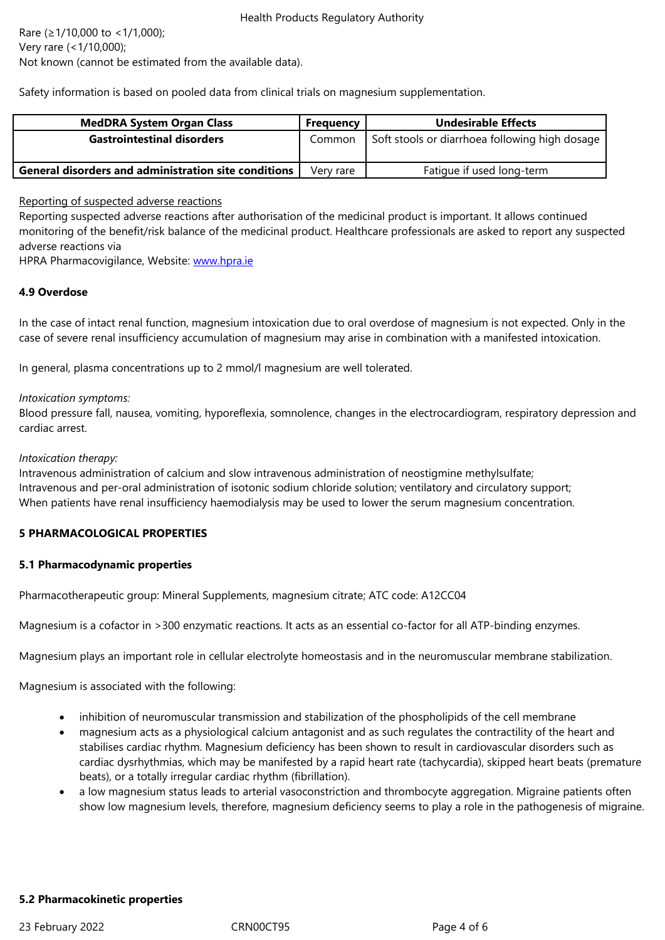Not known (cannot be estimated from the available data).

Safety information is based on pooled data from clinical trials on magnesium supplementation.

| <b>MedDRA System Organ Class</b>                            | Frequency | Undesirable Effects                            |
|-------------------------------------------------------------|-----------|------------------------------------------------|
| <b>Gastrointestinal disorders</b>                           | Common    | Soft stools or diarrhoea following high dosage |
| <b>General disorders and administration site conditions</b> | Verv rare | Fatigue if used long-term                      |

#### Reporting of suspected adverse reactions

Reporting suspected adverse reactions after authorisation of the medicinal product is important. It allows continued monitoring of the benefit/risk balance of the medicinal product. Healthcare professionals are asked to report any suspected adverse reactions via

HPRA Pharmacovigilance, Website: www.hpra.ie

## **4.9 Overdose**

In the case of intact renal function, [magnesium i](http://www.hpra.ie/)ntoxication due to oral overdose of magnesium is not expected. Only in the case of severe renal insufficiency accumulation of magnesium may arise in combination with a manifested intoxication.

In general, plasma concentrations up to 2 mmol/l magnesium are well tolerated.

#### *Intoxication symptoms:*

Blood pressure fall, nausea, vomiting, hyporeflexia, somnolence, changes in the electrocardiogram, respiratory depression and cardiac arrest.

#### *Intoxication therapy:*

Intravenous administration of calcium and slow intravenous administration of neostigmine methylsulfate; Intravenous and per-oral administration of isotonic sodium chloride solution; ventilatory and circulatory support; When patients have renal insufficiency haemodialysis may be used to lower the serum magnesium concentration.

## **5 PHARMACOLOGICAL PROPERTIES**

#### **5.1 Pharmacodynamic properties**

Pharmacotherapeutic group: Mineral Supplements, magnesium citrate; ATC code: A12CC04

Magnesium is a cofactor in >300 enzymatic reactions. It acts as an essential co-factor for all ATP-binding enzymes.

Magnesium plays an important role in cellular electrolyte homeostasis and in the neuromuscular membrane stabilization.

Magnesium is associated with the following:

- inhibition of neuromuscular transmission and stabilization of the phospholipids of the cell membrane
- magnesium acts as a physiological calcium antagonist and as such regulates the contractility of the heart and stabilises cardiac rhythm. Magnesium deficiency has been shown to result in cardiovascular disorders such as cardiac dysrhythmias, which may be manifested by a rapid heart rate (tachycardia), skipped heart beats (premature beats), or a totally irregular cardiac rhythm (fibrillation).
- a low magnesium status leads to arterial vasoconstriction and thrombocyte aggregation. Migraine patients often show low magnesium levels, therefore, magnesium deficiency seems to play a role in the pathogenesis of migraine.

#### **5.2 Pharmacokinetic properties**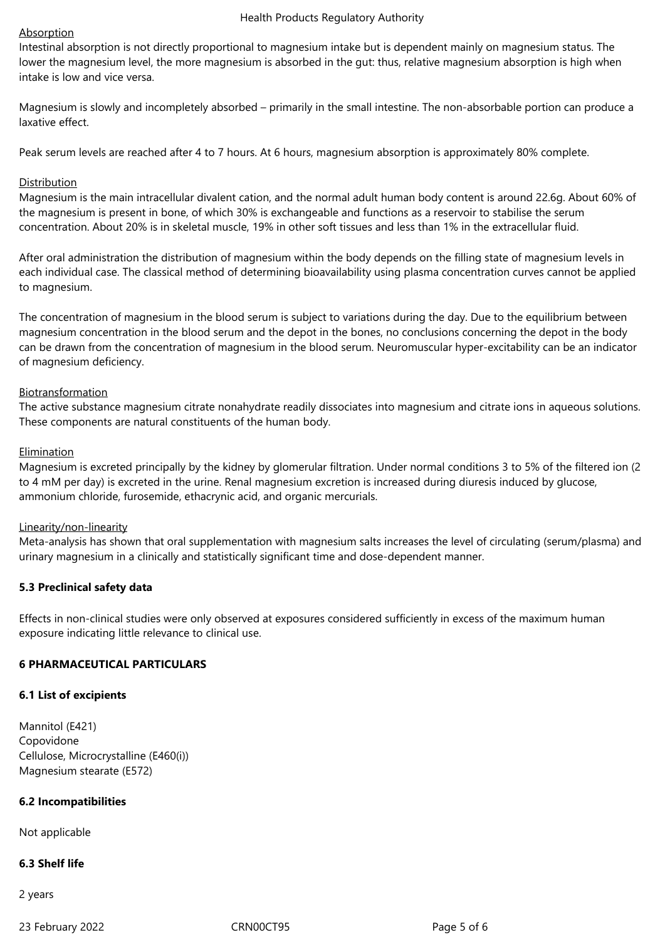#### Health Products Regulatory Authority

## **Absorption**

Intestinal absorption is not directly proportional to magnesium intake but is dependent mainly on magnesium status. The lower the magnesium level, the more magnesium is absorbed in the gut: thus, relative magnesium absorption is high when intake is low and vice versa.

Magnesium is slowly and incompletely absorbed – primarily in the small intestine. The non-absorbable portion can produce a laxative effect.

Peak serum levels are reached after 4 to 7 hours. At 6 hours, magnesium absorption is approximately 80% complete.

#### Distribution

Magnesium is the main intracellular divalent cation, and the normal adult human body content is around 22.6g. About 60% of the magnesium is present in bone, of which 30% is exchangeable and functions as a reservoir to stabilise the serum concentration. About 20% is in skeletal muscle, 19% in other soft tissues and less than 1% in the extracellular fluid.

After oral administration the distribution of magnesium within the body depends on the filling state of magnesium levels in each individual case. The classical method of determining bioavailability using plasma concentration curves cannot be applied to magnesium.

The concentration of magnesium in the blood serum is subject to variations during the day. Due to the equilibrium between magnesium concentration in the blood serum and the depot in the bones, no conclusions concerning the depot in the body can be drawn from the concentration of magnesium in the blood serum. Neuromuscular hyper-excitability can be an indicator of magnesium deficiency.

#### Biotransformation

The active substance magnesium citrate nonahydrate readily dissociates into magnesium and citrate ions in aqueous solutions. These components are natural constituents of the human body.

#### **Elimination**

Magnesium is excreted principally by the kidney by glomerular filtration. Under normal conditions 3 to 5% of the filtered ion (2 to 4 mM per day) is excreted in the urine. Renal magnesium excretion is increased during diuresis induced by glucose, ammonium chloride, furosemide, ethacrynic acid, and organic mercurials.

#### Linearity/non-linearity

Meta-analysis has shown that oral supplementation with magnesium salts increases the level of circulating (serum/plasma) and urinary magnesium in a clinically and statistically significant time and dose-dependent manner.

## **5.3 Preclinical safety data**

Effects in non-clinical studies were only observed at exposures considered sufficiently in excess of the maximum human exposure indicating little relevance to clinical use.

## **6 PHARMACEUTICAL PARTICULARS**

#### **6.1 List of excipients**

Mannitol (E421) Copovidone Cellulose, Microcrystalline (E460(i)) Magnesium stearate (E572)

## **6.2 Incompatibilities**

Not applicable

## **6.3 Shelf life**

2 years